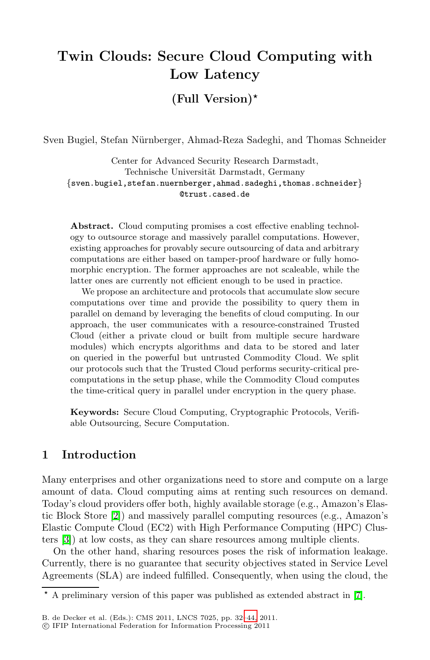# **Twin Clouds: Secure Cloud Computing with Low Latency**

## **(Full Version)***-*

Sven Bugiel, Stefan Nürnberger, Ahmad-Reza Sadeghi, and Thomas Schneider

Center for Advanced Security Research Darmstadt, Technische Universität Darmstadt, Germany {sven.bugiel,stefan.nuernberger,ahmad.sadeghi,thomas.schneider} @trust.cased.de

**Abstract.** Cloud computing promises a cost effective enabling technology to outsource storage and massively parallel computations. However, existing approaches for provably secure outsourcing of data and arbitrary computations are either based on tamper-proof hardware or fully homomorphic encryption. The former approaches are not scaleable, while the latter ones are currently not efficient enough to be used in practice.

We propose an architecture and protocols that accumulate slow secure computations over time and provide the possibility to query them in parallel on demand by leveraging the benefits of cloud computing. In our approach, the user communicates with a resource-constrained Trusted Cloud (either a private cloud or built from multiple secure hardware modules) which encrypts algorithms and data to be stored and later on queried in the powerful but untrusted Commodity Cloud. We split our protocols such that the Trusted Cloud performs security-critical precomputations in the setup phase, while the Commodity Cloud computes the time-critical query in parallel under encryption in the query phase.

**Keywords:** Secure Cloud Computing, Cryptographic Protocols, Verifiable Outsourcing, Secure Computation.

## **1 Introduction**

Many enterprises and other organizations need to store and compute on a large amount of data. Cloud computing aims at renting such resources on demand. Today's cloud providers offer both, highly available storage (e.g., Amazon's Elastic Block Store [\[2\]](#page-10-0)) and massively parallel computing resources (e.g., Amazon's Elastic Compute Cloud (EC2) with High Performance Computing (HPC) Clusters  $\boxed{3}$ ) at low costs, as they can share resources among multiple clients.

On the other hand, sharing resources poses the risk of information leakage. Currently, there is no guarantee that security objectives stated in Service Level Agreements (SLA) are indeed fulfilled. Consequently, when using the cloud, the

*<sup>-</sup>* A preliminary version of this paper was published as extended abstract in [\[7\]](#page-11-0).

B. de Decker et al. (Eds.): CMS 2011, LNCS 7025, pp. 32[–44,](#page-12-0) 2011.

<sup>-</sup>c IFIP International Federation for Information Processing 2011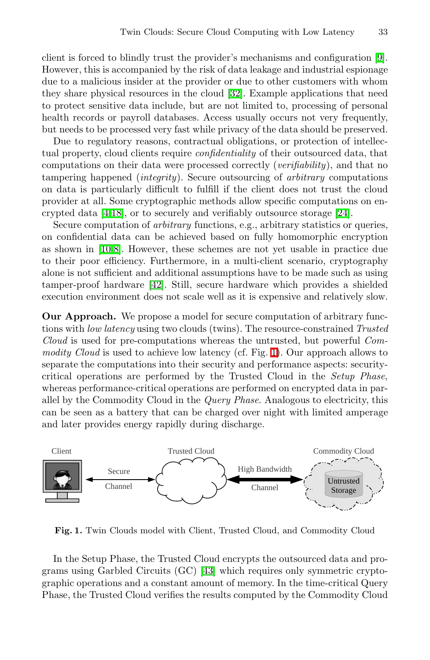client is forced to blindly trust the provider's mechanisms and configuration  $[9]$ . However, this is accompanied by the risk of data leakage and industrial espionage due to a malicious insider at the provider or due to other customers with whom they share physical resources in the cloud  $[32]$ . Example applications that need to protect sensitive data include, but are not limited to, processing of personal health records or payroll databases. Access usually occurs not very frequently, but needs to be processed very fast while privacy of the data should be preserved.

Due to regulatory reasons, contractual obligations, or protection of intellectual property, cloud clients require confidentiality of their outsourced data, that computations on their data were processed correctly (verifiability), and that no tampering happened (integrity). Secure outsourcing of arbitrary computations on data is particularly difficult to fulfill if the client does not trust the cloud provider at all. Some cryptographic methods allow specific computations on encrypted data  $[4,18]$  $[4,18]$ , or to securely and verifiably outsource storage  $[24]$ .

Secure computation of *arbitrary* functions, e.g., arbitrary statistics or queries, on confidential data can be achieved based on fully homomorphic encryption as shown in  $[10,8]$  $[10,8]$ . However, these schemes are not yet usable in practice due to their poor efficiency. Furthermore, in a multi-client scenario, cryptography alone is not sufficient and additional assumptions have to be made such as using tamper-proof hardware  $[42]$ . Still, secure hardware which provides a shielded execution environment does not scale well as it is expensive and relatively slow.

**Our Approach.** We propose a model for secure computation of arbitrary functions with *low latency* using two clouds (twins). The resource-constrained *Trusted* Cloud is used for pre-computations whereas the untrusted, but powerful Commodity Cloud is used to achieve low latency (cf. Fig.  $\Box$ ). Our approach allows to separate the computations into their security and performance aspects: securitycritical operations are performed by the Trusted Cloud in the Setup Phase, whereas performance-critical operations are performed on encrypted data in parallel by the Commodity Cloud in the Query Phase. Analogous to electricity, this can be seen as a battery that can be charged over night with limited amperage and later provides energy rapidly during discharge.



<span id="page-1-0"></span>**Fig. 1.** Twin Clouds model with Client, Trusted Cloud, and Commodity Cloud

In the Setup Phase, the Trusted Cloud encrypts the outsourced data and programs using Garbled Circuits  $(GC)$  **43** which requires only symmetric cryptographic operations and a constant amount of memory. In the time-critical Query Phase, the Trusted Cloud verifies the results computed by the Commodity Cloud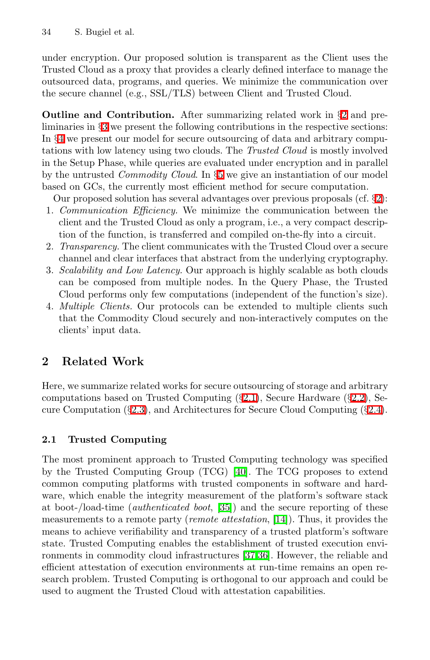under encryption. Our proposed solution is transparent as the Client uses the Trusted Cloud as a proxy that provides a clearly defined interface to manage the outsourced data, programs, and queries. We minimize the communication over the secure channel (e.g., SSL/TLS) between Client and Trusted Cloud.

**Outline and Contribution.** After summarizing related work in §[2](#page-2-0) and preliminaries in **§[3](#page-5-0)** we present the following contributions in the respective sections: In **[4](#page-6-0)4** we present our model for secure outsourcing of data and arbitrary computations with low latency using two clouds. The Trusted Cloud is mostly involved in the Setup Phase, while queries are evaluated under encryption and in parallel by the untrusted *Commodity Cloud*. In §[5](#page-7-0) we give an instantiation of our model based on GCs, the currently most efficient method for secure computation.

Our proposed solution has several advantages over previous proposals (cf. §[2\)](#page-2-0):

- 1. Communication Efficiency. We minimize the communication between the client and the Trusted Cloud as only a program, i.e., a very compact description of the function, is transferred and compiled on-the-fly into a circuit.
- 2. Transparency. The client communicates with the Trusted Cloud over a secure channel and clear interfaces that abstract from the underlying cryptography.
- <span id="page-2-0"></span>3. Scalability and Low Latency. Our approach is highly scalable as both clouds can be composed from multiple nodes. In the Query Phase, the Trusted Cloud performs only few computations (independent of the function's size).
- 4. Multiple Clients. Our protocols can be extended to multiple clients such that the Commodity Cloud securely and non-interactively computes on the clients' input data.

## <span id="page-2-1"></span>**2 Related Work**

Here, we summarize related works for secure outsourcing of storage and arbitrary computations based on Trusted Computing  $(\underline{32.1})$ , Secure Hardware  $(\underline{32.2})$ , Secure Computation ( $\{2.3\}$ ), and Architectures for Secure Cloud Computing ( $\{2.4\}$ ).

## **2.1 Trusted Computing**

The most prominent approach to Trusted Computing technology was specified by the Trusted Computing Group (TCG)  $[40]$ . The TCG proposes to extend common computing platforms with trusted components in software and hardware, which enable the integrity measurement of the platform's software stack at boot-/load-time (*authenticated boot*,  $\boxed{35}$ ) and the secure reporting of these measurements to a remote party (*remote attestation*,  $[14]$ ). Thus, it provides the means to achieve verifiability and transparency of a trusted platform's software state. Trusted Computing enables the establishment of trusted execution environments in commodity cloud infrastructures  $[37,36]$  $[37,36]$ . However, the reliable and efficient attestation of execution environments at run-time remains an open research problem. Trusted Computing is orthogonal to our approach and could be used to augment the Trusted Cloud with attestation capabilities.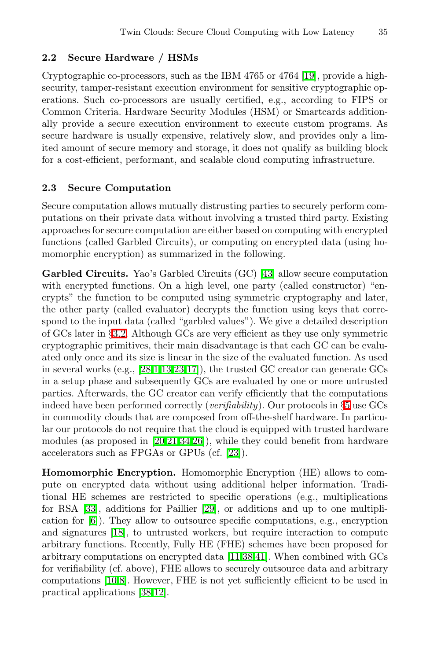### <span id="page-3-0"></span>**2.2 Secure Hardware / HSMs**

<span id="page-3-1"></span>Cryptographic co-processors, such as the IBM 4765 or 4764 [\[19\]](#page-11-7), provide a highsecurity, tamper-resistant execution environment for sensitive cryptographic operations. Such co-processors are usually certified, e.g., according to FIPS or Common Criteria. Hardware Security Modules (HSM) or Smartcards additionally provide a secure execution environment to execute custom programs. As secure hardware is usually expensive, relatively slow, and provides only a limited amount of secure memory and storage, it does not qualify as building block for a cost-efficient, performant, and scalable cloud computing infrastructure.

### **2.3 Secure Computation**

Secure computation allows mutually distrusting parties to securely perform computations on their private data without involving a trusted third party. Existing approaches for secure computation are either based on computing with encrypted functions (called Garbled Circuits), or computing on encrypted data (using homomorphic encryption) as summarized in the following.

<span id="page-3-2"></span>**Garbled Circuits.** Yao's Garbled Circuits (GC) [\[43\]](#page-12-3) allow secure computation with encrypted functions. On a high level, one party (called constructor) "encrypts" the function to be computed using symmetric cryptography and later, the other party (called evaluator) decrypts the function using keys that correspond to the input data (called "garbled values"). We give a detailed description of GCs later in §[3.2.](#page-5-1) Although GCs are very efficient as they use only symmetric cryptographic primitives, their main disadvantage is that each GC can be evaluated only once and its size is linear in the size of the evaluated function. As used in several works (e.g.,  $\sqrt{28|1|13|23|17}$ ), the trusted GC creator can generate GCs in a setup phase and subsequently GCs are evaluated by one or more untrusted parties. Afterwards, the GC creator can verify efficiently that the computations indeed have been performed correctly (verifiability). Our protocols in §[5](#page-7-0) use GCs in commodity clouds that are composed from off-the-shelf hardware. In particular our protocols do not require that the cloud is equipped with trusted hardware modules (as proposed in  $\sqrt{20.21,34.26}$ ), while they could benefit from hardware accelerators such as FPGAs or GPUs (cf. [\[23\]](#page-11-9)).

**Homomorphic Encryption.** Homomorphic Encryption (HE) allows to compute on encrypted data without using additional helper information. Traditional HE schemes are restricted to specific operations (e.g., multiplications for RSA [\[33\]](#page-12-11), additions for Paillier [\[29\]](#page-12-12), or additions and up to one multiplication for  $\boxed{6}$ ). They allow to outsource specific computations, e.g., encryption and signatures  $[18]$ , to untrusted workers, but require interaction to compute arbitrary functions. Recently, Fully HE (FHE) schemes have been proposed for arbitrary computations on encrypted data  $\boxed{11,38,41}$  $\boxed{11,38,41}$  $\boxed{11,38,41}$ . When combined with GCs for verifiability (cf. above), FHE allows to securely outsource data and arbitrary computations **[\[10](#page-11-4).8]**. However, FHE is not yet sufficiently efficient to be used in practical applications [\[38,](#page-12-13)[12\]](#page-11-14).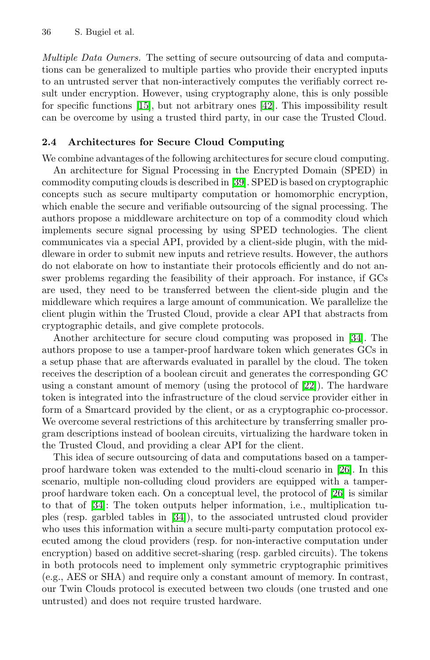<span id="page-4-0"></span>Multiple Data Owners. The setting of secure outsourcing of data and computations can be generalized to multiple parties who provide their encrypted inputs to an untrusted server that non-interactively computes the verifiably correct result under encryption. However, using cryptography alone, this is only possible for specific functions  $\boxed{15}$ , but not arbitrary ones  $\boxed{42}$ . This impossibility result can be overcome by using a trusted third party, in our case the Trusted Cloud.

### **2.4 Architectures for Secure Cloud Computing**

We combine advantages of the following architectures for secure cloud computing. An architecture for Signal Processing in the Encrypted Domain (SPED) in commodity computing clouds is described in [\[39\]](#page-12-15). SPED is based on cryptographic concepts such as secure multiparty computation or homomorphic encryption, which enable the secure and verifiable outsourcing of the signal processing. The authors propose a middleware architecture on top of a commodity cloud which implements secure signal processing by using SPED technologies. The client communicates via a special API, provided by a client-side plugin, with the middleware in order to submit new inputs and retrieve results. However, the authors do not elaborate on how to instantiate their protocols efficiently and do not answer problems regarding the feasibility of their approach. For instance, if GCs are used, they need to be transferred between the client-side plugin and the middleware which requires a large amount of communication. We parallelize the client plugin within the Trusted Cloud, provide a clear API that abstracts from cryptographic details, and give complete protocols.

Another architecture for secure cloud computing was proposed in **34**. The authors propose to use a tamper-proof hardware token which generates GCs in a setup phase that are afterwards evaluated in parallel by the cloud. The token receives the description of a boolean circuit and generates the corresponding GC using a constant amount of memory (using the protocol of [\[22\]](#page-11-16)). The hardware token is integrated into the infrastructure of the cloud service provider either in form of a Smartcard provided by the client, or as a cryptographic co-processor. We overcome several restrictions of this architecture by transferring smaller program descriptions instead of boolean circuits, virtualizing the hardware token in the Trusted Cloud, and providing a clear API for the client.

This idea of secure outsourcing of data and computations based on a tamperproof hardware token was extended to the multi-cloud scenario in [\[26\]](#page-12-10). In this scenario, multiple non-colluding cloud providers are equipped with a tamperproof hardware token each. On a conceptual level, the protocol of [\[26\]](#page-12-10) is similar to that of [\[34\]](#page-12-9): The token outputs helper information, i.e., multiplication tuples (resp. garbled tables in [\[34\]](#page-12-9)), to the associated untrusted cloud provider who uses this information within a secure multi-party computation protocol executed among the cloud providers (resp. for non-interactive computation under encryption) based on additive secret-sharing (resp. garbled circuits). The tokens in both protocols need to implement only symmetric cryptographic primitives (e.g., AES or SHA) and require only a constant amount of memory. In contrast, our Twin Clouds protocol is executed between two clouds (one trusted and one untrusted) and does not require trusted hardware.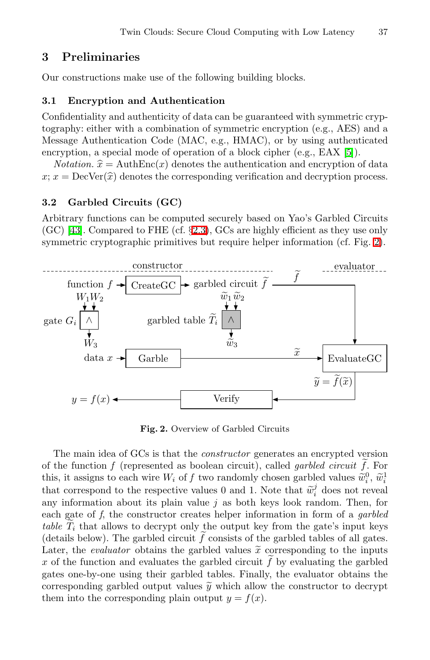## <span id="page-5-3"></span><span id="page-5-0"></span>**3 Preliminaries**

Our constructions make use of the following building blocks.

#### <span id="page-5-1"></span>**3.1 Encryption and Authentication**

Confidentiality and authenticity of data can be guaranteed with symmetric cryptography: either with a combination of symmetric encryption (e.g., AES) and a Message Authentication Code (MAC, e.g., HMAC), or by using authenticated encryption, a special mode of operation of a block cipher (e.g., EAX  $[5]$ ). graphy: eith<br>essage Auth<br>cryption, a<br>*Notation.*  $\hat{x}$ <br> $x - \text{DecVer}$ 

*Notation.*  $\hat{x} = \text{AuthEnc}(x)$  denotes the authentication and encryption of data Nessage Authen<br>encryption, a sp<br> $Notation. \hat{x} =$ <br> $x; x = \text{DecVer}(\hat{x})$  $x; x = \text{DecVer}(\hat{x})$  denotes the corresponding verification and decryption process.

### **3.2 Garbled Circuits (GC)**

Arbitrary functions can be computed securely based on Yao's Garbled Circuits  $(GC)$  [\[43\]](#page-12-3). Compared to FHE (cf.  $\S 2.3$ ), GCs are highly efficient as they use only symmetric cryptographic primitives but require helper information (cf. Fig.  $2$ ).



<span id="page-5-2"></span>**Fig. 2.** Overview of Garbled Circuits

The main idea of GCs is that the *constructor* generates an encrypted version of the function f (represented as boolean circuit), called *garbled circuit* f. For<br>this it assigns to each wire W, of f two randomly chosen garbled values  $\tilde{w}^0$ ,  $\tilde{w}^1$ The main idea of GCs is that the *constructor* generates an encrypted version<br>of the function f (represented as boolean circuit), called *garbled circuit*  $\tilde{f}$ . For<br>this, it assigns to each wire  $W_i$  of f two randomly The main idea of GCs is that the *constructor* generates an e.<br>
of the function f (represented as boolean circuit), called *garbl*<br>
this, it assigns to each wire  $W_i$  of f two randomly chosen garble<br>
that correspond to th that correspond to the respective values 0 and 1. Note that  $\tilde{w}_i^j$  does not reveal any information about its plain value  $j$  as both keys look random. Then, for each gate of f, the constructor creates helper information in form of a garbled that correspond to the respective values 0 and 1. Note that  $\widetilde{w}_i^j$  does not reveal<br>any information about its plain value j as both keys look random. Then, for<br>each gate of f, the constructor creates helper informati (details below). The garbled circuit f consists of the garbled tables of all gates.<br>Later the *evaluator* obtains the garbled values  $\tilde{x}$  corresponding to the inputs u, each gate of *J*, the constructor creates helper information in form of a *garbled* table  $\tilde{T}_i$  that allows to decrypt only the output key from the gate's input keys (details below). The garbled circuit  $\tilde{f}$  consis x of the function and evaluates the garbled circuit  $f$  by evaluating the garbled  $\sigma$  at  $\sigma$  one-by-one using their garbled tables. Finally, the evaluator obtains the þ gates one-by-one using their garbled tables. Finally, the evaluator obtains the Later, the *evaluator* obtains the garbled values x corresponding to the inputs x of the function and evaluates the garbled circuit  $\tilde{f}$  by evaluating the garbled gates one-by-one using their garbled tables. Finally, them into the corresponding plain output  $y = f(x)$ .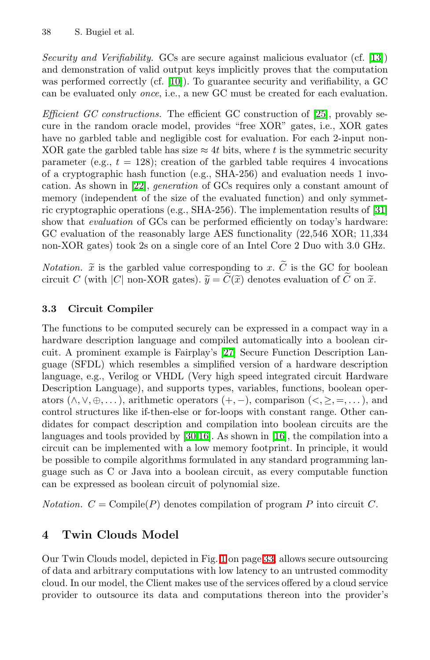Security and Verifiability. GCs are secure against malicious evaluator (cf.  $\boxed{13}$ ) and demonstration of valid output keys implicitly proves that the computation was performed correctly (cf.  $\boxed{10}$ ). To guarantee security and verifiability, a GC can be evaluated only once, i.e., a new GC must be created for each evaluation.

*Efficient GC constructions.* The efficient GC construction of  $[25]$ , provably secure in the random oracle model, provides "free XOR" gates, i.e., XOR gates have no garbled table and negligible cost for evaluation. For each 2-input non-XOR gate the garbled table has size  $\approx 4t$  bits, where t is the symmetric security parameter (e.g.,  $t = 128$ ); creation of the garbled table requires 4 invocations of a cryptographic hash function (e.g., SHA-256) and evaluation needs 1 invocation. As shown in [\[22\]](#page-11-16), generation of GCs requires only a constant amount of memory (independent of the size of the evaluated function) and only symmetric cryptographic operations (e.g., SHA-256). The implementation results of  $\overline{31}$ show that *evaluation* of GCs can be performed efficiently on today's hardware: GC evaluation of the reasonably large AES functionality (22,546 XOR; 11,334 non-XOR gates) took 2s on a single core of an Intel Core 2 Duo with 3.0 GHz. GC evaluation of the reasonably large AES functionality (22,546 XOR; 11,334<br>non-XOR gates) took 2s on a single core of an Intel Core 2 Duo with 3.0 GHz.<br>Notation.  $\tilde{x}$  is the garbled value corresponding to x.  $\tilde{C}$ 

<span id="page-6-1"></span>non-XOR gates) took 2s on a single core of an Intel Core 2 Duo with 3.0 GE<br>Notation.  $\tilde{x}$  is the garbled value corresponding to x.  $\tilde{C}$  is the GC for boole<br>circuit C (with |C| non-XOR gates).  $\tilde{y} = \tilde{C}(\tilde{x})$  d

## **3.3 Circuit Compiler**

The functions to be computed securely can be expressed in a compact way in a hardware description language and compiled automatically into a boolean circuit. A prominent example is Fairplay's [\[27\]](#page-12-17) Secure Function Description Language (SFDL) which resembles a simplified version of a hardware description language, e.g., Verilog or VHDL (Very high speed integrated circuit Hardware Description Language), and supports types, variables, functions, boolean operators  $(\wedge, \vee, \oplus, \ldots)$ , arithmetic operators  $(+, -)$ , comparison  $(<, \geq, =, \ldots)$ , and control structures like if-then-else or for-loops with constant range. Other candidates for compact description and compilation into boolean circuits are the languages and tools provided by  $[30,16]$  $[30,16]$ . As shown in  $[16]$ , the compilation into a circuit can be implemented with a low memory footprint. In principle, it would be possible to compile algorithms formulated in any standard programming language such as C or Java into a boolean circuit, as every computable function can be expressed as boolean circuit of polynomial size.

<span id="page-6-0"></span>*Notation.*  $C = \text{Compile}(P)$  denotes compilation of program P into circuit C.

## **4 Twin Clouds Model**

Our Twin Clouds model, depicted in Fig.  $\Box$  on page  $\Box$  allows secure outsourcing of data and arbitrary computations with low latency to an untrusted commodity cloud. In our model, the Client makes use of the services offered by a cloud service provider to outsource its data and computations thereon into the provider's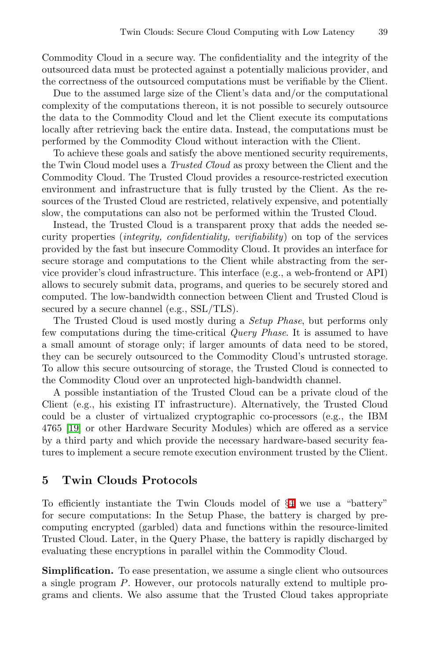Commodity Cloud in a secure way. The confidentiality and the integrity of the outsourced data must be protected against a potentially malicious provider, and the correctness of the outsourced computations must be verifiable by the Client.

Due to the assumed large size of the Client's data and/or the computational complexity of the computations thereon, it is not possible to securely outsource the data to the Commodity Cloud and let the Client execute its computations locally after retrieving back the entire data. Instead, the computations must be performed by the Commodity Cloud without interaction with the Client.

To achieve these goals and satisfy the above mentioned security requirements, the Twin Cloud model uses a Trusted Cloud as proxy between the Client and the Commodity Cloud. The Trusted Cloud provides a resource-restricted execution environment and infrastructure that is fully trusted by the Client. As the resources of the Trusted Cloud are restricted, relatively expensive, and potentially slow, the computations can also not be performed within the Trusted Cloud.

Instead, the Trusted Cloud is a transparent proxy that adds the needed security properties (integrity, confidentiality, verifiability) on top of the services provided by the fast but insecure Commodity Cloud. It provides an interface for secure storage and computations to the Client while abstracting from the service provider's cloud infrastructure. This interface (e.g., a web-frontend or API) allows to securely submit data, programs, and queries to be securely stored and computed. The low-bandwidth connection between Client and Trusted Cloud is secured by a secure channel (e.g.,  $\text{SSL}/\text{TLS}$ ).

The Trusted Cloud is used mostly during a Setup Phase, but performs only few computations during the time-critical Query Phase. It is assumed to have a small amount of storage only; if larger amounts of data need to be stored, they can be securely outsourced to the Commodity Cloud's untrusted storage. To allow this secure outsourcing of storage, the Trusted Cloud is connected to the Commodity Cloud over an unprotected high-bandwidth channel.

<span id="page-7-0"></span>A possible instantiation of the Trusted Cloud can be a private cloud of the Client (e.g., his existing IT infrastructure). Alternatively, the Trusted Cloud could be a cluster of virtualized cryptographic co-processors (e.g., the IBM 4765 [\[19\]](#page-11-7) or other Hardware Security Modules) which are offered as a service by a third party and which provide the necessary hardware-based security features to implement a secure remote execution environment trusted by the Client.

## **5 Twin Clouds Protocols**

To efficiently instantiate the Twin Clouds model of  $\mathcal{L}$  we use a "battery" for secure computations: In the Setup Phase, the battery is charged by precomputing encrypted (garbled) data and functions within the resource-limited Trusted Cloud. Later, in the Query Phase, the battery is rapidly discharged by evaluating these encryptions in parallel within the Commodity Cloud.

**Simplification.** To ease presentation, we assume a single client who outsources a single program P. However, our protocols naturally extend to multiple programs and clients. We also assume that the Trusted Cloud takes appropriate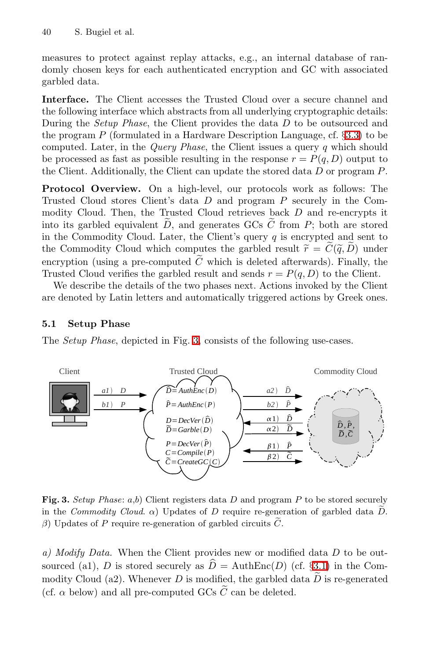measures to protect against replay attacks, e.g., an internal database of randomly chosen keys for each authenticated encryption and GC with associated garbled data.

**Interface.** The Client accesses the Trusted Cloud over a secure channel and the following interface which abstracts from all underlying cryptographic details: During the Setup Phase, the Client provides the data D to be outsourced and the program P (formulated in a Hardware Description Language, cf.  $\S33$ ) to be computed. Later, in the Query Phase, the Client issues a query q which should be processed as fast as possible resulting in the response  $r = P(q, D)$  output to the Client. Additionally, the Client can update the stored data D or program P.

**Protocol Overview.** On a high-level, our protocols work as follows: The Trusted Cloud stores Client's data  $D$  and program  $P$  securely in the Com-<br>modity Cloud. Then, the Trusted Cloud retrieves back  $D$  and re-encrypts it modity Cloud. Then, the Trusted Cloud retrieves back D and re-encrypts it **Protocol Overview.** On a high-level, our protocols work as follows: The Trusted Cloud stores Client's data D and program P securely in the Commodity Cloud. Then, the Trusted Cloud retrieves back D and re-encrypts it into in the Commodity Cloud. Later, the Client's query q is encrypted and sent to the Commodity Cloud which computes the garbled result  $\tilde{r} = \tilde{C}(\tilde{q}, \tilde{D})$  under into its garbled equivalent  $D$ , and generates GCs  $C$  from  $P$ ; both are stored encryption (using a pre-computed  $\tilde{C}$  which is deleted afterwards). Finally, the Trusted Cloud verifies the garbled result and sends  $r = P(q, D)$  to the Client.

We describe the details of the two phases next. Actions invoked by the Client are denoted by Latin letters and automatically triggered actions by Greek ones.

## **5.1 Setup Phase**

The *Setup Phase*, depicted in Fig.  $\boxed{3}$  consists of the following use-cases.



<span id="page-8-0"></span>**Fig. 3.** *Setup Phase*: *a*,*b*) Client registers data *D* and program *P* to be stored securely **in Fig. 3.** Setup Phase: a,b) Client registers data *D* and program *P* to be stored securely in the *Commodity Cloud.*  $\alpha$ ) Updates of *D* require re-generation of garbled data  $\tilde{D}$ . *Fig. 3. Setup Phase: a,b)* Client registers data *D* and prograin the *Commodity Cloud.*  $\alpha$ ) Updates of *D* require re-generation of garbled circuits  $\tilde{C}$ .

a) Modify Data. When the Client provides new or modified data  $D$  to be outsolution of the Client provides new or modified data D to be out-<br>sourced (a1), D is stored securely as  $\hat{D} = \text{AuthEnc}(D)$  (cf.  $\overline{\text{32.1}}$ ) in the Com-<br>modity Claud (a2). Whenever D is modified, the sexual data  $\tilde{D}$ a) Modify Data. When the Client provides new or modified data D to be outsourced (a1), D is stored securely as  $\hat{D} = \text{AuthEnc}(D)$  (cf.  $\frac{\sqrt{32.1}}{2.1}$ ) in the Commodity Cloud (a2). Whenever D is modified, the garbled data (a) *a) Moaty Data.* When the Chent provides hew or modified sourced (a1), *D* is stored securely as  $\hat{D} = \text{AuthEnc}(D)$  (modity Cloud (a2). Whenever *D* is modified, the garbled d (cf.  $\alpha$  below) and all pre-computed GCs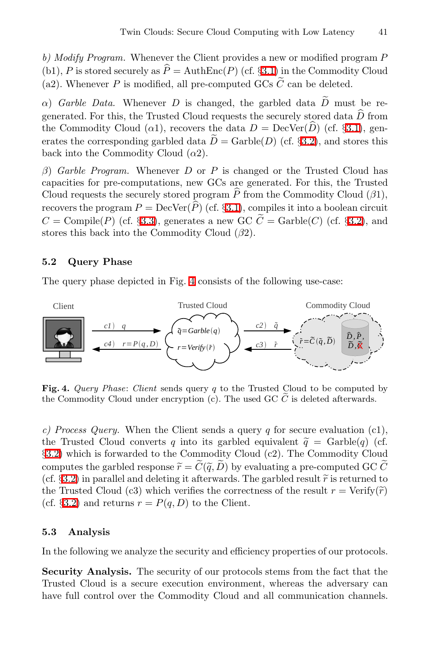b) Modify Program. Whenever the Client provides a new or modified program P<br>(b)  $B$  is stared sequely as  $\hat{B} = \text{AutER}(B)$  (of  $\mathcal{B}^{\text{TD}}$  in the Commodity Claus (b) Modify Program. Wheneve<br>
(b1), P is stored securely as  $\hat{P}$ <br>
(e2), Whenever, B is modified (b1), *P* is stored securely as  $\hat{P} = \text{AuthEnc}(P)$  (cf. **§[3.1\)](#page-5-3)** in the Commodity Cloud (a2). Whenever *P* is modified, all pre-computed GCs  $\tilde{C}$  can be deleted.<br> $\alpha$ ) *Garble Data.* Whenever *D* is changed, the garbled b) Modify Program. Whenever the Client provides a new or modified pro<br>(b1), P is stored securely as  $\hat{P} = \text{AuthEnc}(P)$  (cf.  $\frac{\mathbf{33.1}}{\mathbf{33.1}}$  in the Commodit (a2). Whenever P is modified, all pre-computed GCs  $\tilde{C}$ 

(a2). Whenever *P* is modified, all pre-computed GCs  $\tilde{C}$  can be deleted.<br>  $\alpha$ ) *Garble Data*. Whenever *D* is changed, the garbled data  $\tilde{D}$  must be regenerated. For this, the Trusted Cloud requests the securely  $\alpha$ ) *Garble Data.* Whenever *D* is changed, the garbled data generated. For this, the Trusted Cloud requests the securely sto<br>the Commodity Cloud ( $\alpha$ 1), recovers the data  $D = \text{DecVer}(\widehat{D})$ <br>exists the seriespeaking garb the Commodity Cloud ( $\alpha$ 1), recovers the data  $D = \text{DecVer}(D)$  (cf. \$[3.1\)](#page-5-3), generates the corresponding garbled data  $\tilde{D} = \text{Garble}(D)$  (cf. \$3.2), and stores this  $\alpha$ ) Garble Data. Whenever D is changed, the garbled data D must be regenerated. For this, the Trusted Cloud requests the securely stored data  $\hat{D}$  from the Commodity Cloud ( $\alpha$ 1), recovers the data  $D = \text{DecVer}(\hat{D})$  ( back into the Commodity Cloud  $(\alpha 2)$ .

β) Garble Program. Whenever D or P is changed or the Trusted Cloud has capacities for pre-computations, new GCs are generated. For this, the Trusted β) Garble Program. Whenever D or P is changed or the Trusted Cloud has<br>capacities for pre-computations, new GCs are generated. For this, the Trusted<br>Cloud requests the securely stored program  $\hat{P}$  from the Commodity C  $\beta$ ) *Garble Program.* Whenever *D* capacities for pre-computations, net<br>Cloud requests the securely stored p<br>recovers the program  $P = \text{DecVer}(\hat{P})$ <br> $C = \text{Comnil}_2(P)$  (of  $\overline{SP20}$  congraph) recovers the program  $P = \text{DecVer}(\widehat{P})$  (cf.  $\frac{\mathcal{B}.\mathbf{I}}{\mathcal{B}.\mathbf{I}}$ ), compiles it into a boolean circuit  $C = \text{Compile}(P)$  (cf.  $\frac{\mathcal{B}.\mathbf{3}}{\mathcal{B}.\mathbf{I}}$ ), generates a new GC  $\widetilde{C} = \text{Garble}(C)$  (cf.  $\frac{\mathcal{B}.\mathbf{2}}{\mathcal{B$ capacities for pre-computations, new GCs are generated. For this, the Trusted<br>Cloud requests the securely stored program  $\hat{P}$  from the Commodity Cloud ( $\beta$ 1),<br>recovers the program  $P = \text{DecVer}(\hat{P})$  (cf. §3.1), compiles stores this back into the Commodity Cloud  $(\beta 2)$ .

### **5.2 Query Phase**

<span id="page-9-0"></span>The query phase depicted in Fig.  $\Box$  consists of the following use-case:



**Fig. 4.** *Query Phase*: *Client* sends query *q* to the Trusted Cloud to be computed by the Commodity Cloud under encryption (c). The used GC *<sup>C</sup>* is deleted afterwards.

c) Process Query. When the Client sends a query q for secure evaluation (c1), the Trusted Cloud converts q into its garbled equivalent  $\tilde{a}$  = Carble(q) (cf c) Process Query. When the Client sends a query q for secure evaluation (c1), the Trusted Cloud converts q into its garbled equivalent  $\tilde{q} = \text{Garble}(q)$  (cf.  $\mathbb{R}$ 3) which is forwarded to the Commodity Cloud (c<sup>2</sup>). Th §[3.2\)](#page-5-1) which is forwarded to the Commodity Cloud (c2). The Commodity Cloud c) Process Query. When the Client sends a query q for secure evaluation (c1),<br>the Trusted Cloud converts q into its garbled equivalent  $\tilde{q} = \text{Garble}(q)$  (cf.<br>**33.2)** which is forwarded to the Commodity Cloud (c2). The Com (cf. **§[3.2\)](#page-5-1)** which is forwarded to the Commodity Cloud (c2). The Commodity Cloud computes the garbled response  $\tilde{r} = \tilde{C}(\tilde{q}, \tilde{D})$  by evaluating a pre-computed GC  $\tilde{C}$  (cf. **§3.2)** in parallel and deleting it **S.** 20) which is forwarded to the Commodity Cloud (c2). The Commodity Cloud computes the garbled response  $\tilde{r} = \tilde{C}(\tilde{q}, \tilde{D})$  by evaluating a pre-computed GC  $\tilde{C}$  (cf. **S.22)** in parallel and deleting it afte (cf.  $\S$ [3.2\)](#page-5-1) and returns  $r = P(q, D)$  to the Client.

### **5.3 Analysis**

In the following we analyze the security and efficiency properties of our protocols.

**Security Analysis.** The security of our protocols stems from the fact that the Trusted Cloud is a secure execution environment, whereas the adversary can have full control over the Commodity Cloud and all communication channels.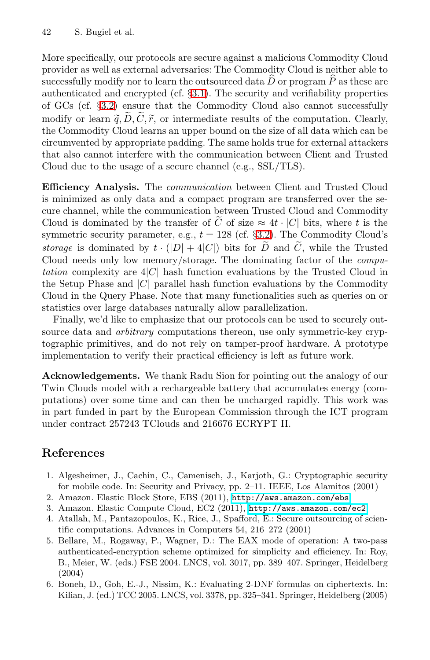More specifically, our protocols are secure against a malicious Commodity Cloud provider as well as external adversaries: The Commodity Cloud is neither able to More specifically, our protocols are secure against a malicious Commodity Cloud<br>provider as well as external adversaries: The Commodity Cloud is neither able to<br>successfully modify nor to learn the outsourced data  $\hat{D}$ authenticated and encrypted (cf. §[3.1\)](#page-5-3). The security and verifiability properties of GCs (cf. §[3.2\)](#page-5-1) ensure that the Commodity Cloud also cannot successfully modify or learn  $\tilde{q}, \tilde{D}, \tilde{C}, \tilde{r}$ , or intermediate results of the computation. Clearly, the Commodity Cloud learns an upper bound on the size of all data which can be circumvented by appropriate padding. The same holds true for external attackers that also cannot interfere with the communication between Client and Trusted Cloud due to the usage of a secure channel (e.g., SSL/TLS).

**Efficiency Analysis.** The *communication* between Client and Trusted Cloud is minimized as only data and a compact program are transferred over the secure channel, while the communication between Trusted Cloud and Commodity **Efficiency Analysis.** The *communication* between Client and Trusted Cloud<br>is minimized as only data and a compact program are transferred over the se-<br>cure channel, while the communication between Trusted Cloud and Comm symmetric security parameter, e.g.,  $t = 128$  (cf.  $\frac{32.2}{32.2}$ ). The Commodity Cloud's *storage* is dominated by  $t \cdot (|D| + 4|C|)$  bits for  $\tilde{D}$  and  $\tilde{C}$ , while the Trusted cure channel, while the communication between Trusted Cloud and Commodity<br>Cloud is dominated by the transfer of  $\tilde{C}$  of size  $\approx 4t \cdot |C|$  bits, where t is the<br>symmetric security parameter, e.g.,  $t = 128$  (cf.  $\sqrt{322}$ Cloud needs only low memory/storage. The dominating factor of the computation complexity are  $4|C|$  hash function evaluations by the Trusted Cloud in the Setup Phase and  $|C|$  parallel hash function evaluations by the Commodity Cloud in the Query Phase. Note that many functionalities such as queries on or statistics over large databases naturally allow parallelization.

Finally, we'd like to emphasize that our protocols can be used to securely outsource data and *arbitrary* computations thereon, use only symmetric-key cryptographic primitives, and do not rely on tamper-proof hardware. A prototype implementation to verify their practical efficiency is left as future work.

<span id="page-10-3"></span><span id="page-10-1"></span><span id="page-10-0"></span>**Acknowledgements.** We thank Radu Sion for pointing out the analogy of our Twin Clouds model with a rechargeable battery that accumulates energy (computations) over some time and can then be uncharged rapidly. This work was in part funded in part by the European Commission through the ICT program under contract 257243 TClouds and 216676 ECRYPT II.

## <span id="page-10-5"></span><span id="page-10-2"></span>**References**

- <span id="page-10-4"></span>1. Algesheimer, J., Cachin, C., Camenisch, J., Karjoth, G.: Cryptographic security for mobile code. In: Security and Privacy, pp. 2–11. IEEE, Los Alamitos (2001)
- 2. Amazon. Elastic Block Store, EBS (2011), <http://aws.amazon.com/ebs>
- 3. Amazon. Elastic Compute Cloud, EC2 (2011), <http://aws.amazon.com/ec2>
- 4. Atallah, M., Pantazopoulos, K., Rice, J., Spafford, E.: Secure outsourcing of scientific computations. Advances in Computers 54, 216–272 (2001)
- 5. Bellare, M., Rogaway, P., Wagner, D.: The EAX mode of operation: A two-pass authenticated-encryption scheme optimized for simplicity and efficiency. In: Roy, B., Meier, W. (eds.) FSE 2004. LNCS, vol. 3017, pp. 389–407. Springer, Heidelberg (2004)
- 6. Boneh, D., Goh, E.-J., Nissim, K.: Evaluating 2-DNF formulas on ciphertexts. In: Kilian, J. (ed.) TCC 2005. LNCS, vol. 3378, pp. 325–341. Springer, Heidelberg (2005)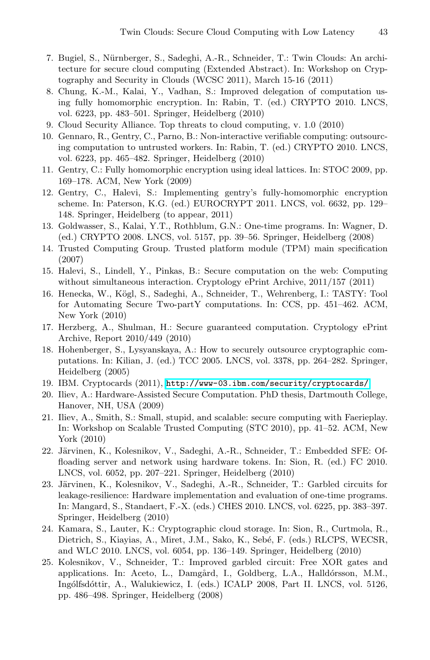- <span id="page-11-13"></span><span id="page-11-5"></span><span id="page-11-4"></span><span id="page-11-1"></span><span id="page-11-0"></span>7. Bugiel, S., Nürnberger, S., Sadeghi, A.-R., Schneider, T.: Twin Clouds: An architecture for secure cloud computing (Extended Abstract). In: Workshop on Cryptography and Security in Clouds (WCSC 2011), March 15-16 (2011)
- <span id="page-11-14"></span>8. Chung, K.-M., Kalai, Y., Vadhan, S.: Improved delegation of computation using fully homomorphic encryption. In: Rabin, T. (ed.) CRYPTO 2010. LNCS, vol. 6223, pp. 483–501. Springer, Heidelberg (2010)
- <span id="page-11-8"></span>9. Cloud Security Alliance. Top threats to cloud computing, v. 1.0 (2010)
- <span id="page-11-6"></span>10. Gennaro, R., Gentry, C., Parno, B.: Non-interactive verifiable computing: outsourcing computation to untrusted workers. In: Rabin, T. (ed.) CRYPTO 2010. LNCS, vol. 6223, pp. 465–482. Springer, Heidelberg (2010)
- <span id="page-11-15"></span>11. Gentry, C.: Fully homomorphic encryption using ideal lattices. In: STOC 2009, pp. 169–178. ACM, New York (2009)
- <span id="page-11-18"></span>12. Gentry, C., Halevi, S.: Implementing gentry's fully-homomorphic encryption scheme. In: Paterson, K.G. (ed.) EUROCRYPT 2011. LNCS, vol. 6632, pp. 129– 148. Springer, Heidelberg (to appear, 2011)
- <span id="page-11-10"></span>13. Goldwasser, S., Kalai, Y.T., Rothblum, G.N.: One-time programs. In: Wagner, D. (ed.) CRYPTO 2008. LNCS, vol. 5157, pp. 39–56. Springer, Heidelberg (2008)
- <span id="page-11-2"></span>14. Trusted Computing Group. Trusted platform module (TPM) main specification (2007)
- 15. Halevi, S., Lindell, Y., Pinkas, B.: Secure computation on the web: Computing without simultaneous interaction. Cryptology ePrint Archive, 2011/157 (2011)
- <span id="page-11-11"></span><span id="page-11-7"></span>16. Henecka, W., Kögl, S., Sadeghi, A., Schneider, T., Wehrenberg, I.: TASTY: Tool for Automating Secure Two-partY computations. In: CCS, pp. 451–462. ACM, New York (2010)
- <span id="page-11-12"></span>17. Herzberg, A., Shulman, H.: Secure guaranteed computation. Cryptology ePrint Archive, Report 2010/449 (2010)
- <span id="page-11-16"></span>18. Hohenberger, S., Lysyanskaya, A.: How to securely outsource cryptographic computations. In: Kilian, J. (ed.) TCC 2005. LNCS, vol. 3378, pp. 264–282. Springer, Heidelberg (2005)
- <span id="page-11-9"></span>19. IBM. Cryptocards (2011), <http://www-03.ibm.com/security/cryptocards/>
- 20. Iliev, A.: Hardware-Assisted Secure Computation. PhD thesis, Dartmouth College, Hanover, NH, USA (2009)
- <span id="page-11-3"></span>21. Iliev, A., Smith, S.: Small, stupid, and scalable: secure computing with Faerieplay. In: Workshop on Scalable Trusted Computing (STC 2010), pp. 41–52. ACM, New York (2010)
- <span id="page-11-17"></span>22. Järvinen, K., Kolesnikov, V., Sadeghi, A.-R., Schneider, T.: Embedded SFE: Offloading server and network using hardware tokens. In: Sion, R. (ed.) FC 2010. LNCS, vol. 6052, pp. 207–221. Springer, Heidelberg (2010)
- 23. Järvinen, K., Kolesnikov, V., Sadeghi, A.-R., Schneider, T.: Garbled circuits for leakage-resilience: Hardware implementation and evaluation of one-time programs. In: Mangard, S., Standaert, F.-X. (eds.) CHES 2010. LNCS, vol. 6225, pp. 383–397. Springer, Heidelberg (2010)
- 24. Kamara, S., Lauter, K.: Cryptographic cloud storage. In: Sion, R., Curtmola, R., Dietrich, S., Kiayias, A., Miret, J.M., Sako, K., Sebé, F. (eds.) RLCPS, WECSR, and WLC 2010. LNCS, vol. 6054, pp. 136–149. Springer, Heidelberg (2010)
- 25. Kolesnikov, V., Schneider, T.: Improved garbled circuit: Free XOR gates and applications. In: Aceto, L., Damgård, I., Goldberg, L.A., Halldórsson, M.M., Ingólfsdóttir, A., Walukiewicz, I. (eds.) ICALP 2008, Part II. LNCS, vol. 5126, pp. 486–498. Springer, Heidelberg (2008)